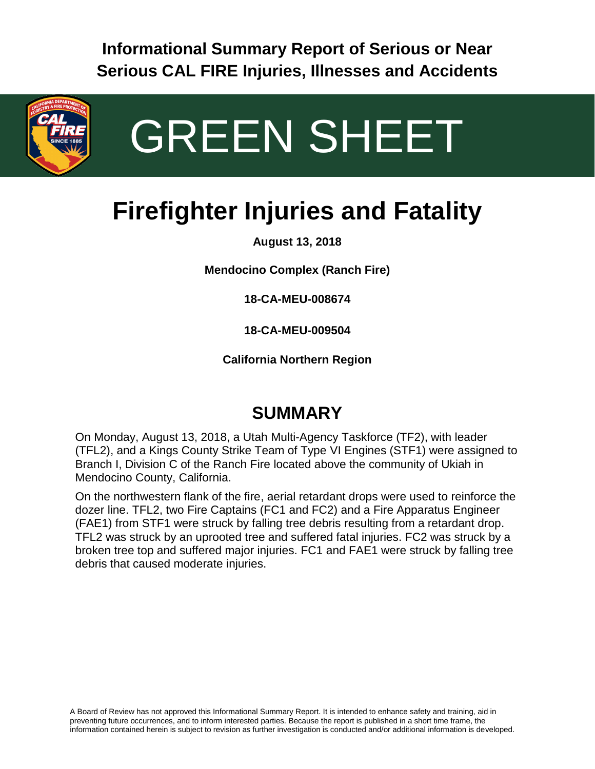**Informational Summary Report of Serious or Near Serious CAL FIRE Injuries, Illnesses and Accidents**



# GREEN SHEET

## **Firefighter Injuries and Fatality**

**August 13, 2018**

**Mendocino Complex (Ranch Fire)**

**18-CA-MEU-008674**

**18-CA-MEU-009504**

**California Northern Region**

#### **SUMMARY**

On Monday, August 13, 2018, a Utah Multi-Agency Taskforce (TF2), with leader (TFL2), and a Kings County Strike Team of Type VI Engines (STF1) were assigned to Branch I, Division C of the Ranch Fire located above the community of Ukiah in Mendocino County, California.

On the northwestern flank of the fire, aerial retardant drops were used to reinforce the dozer line. TFL2, two Fire Captains (FC1 and FC2) and a Fire Apparatus Engineer (FAE1) from STF1 were struck by falling tree debris resulting from a retardant drop. TFL2 was struck by an uprooted tree and suffered fatal injuries. FC2 was struck by a broken tree top and suffered major injuries. FC1 and FAE1 were struck by falling tree debris that caused moderate injuries.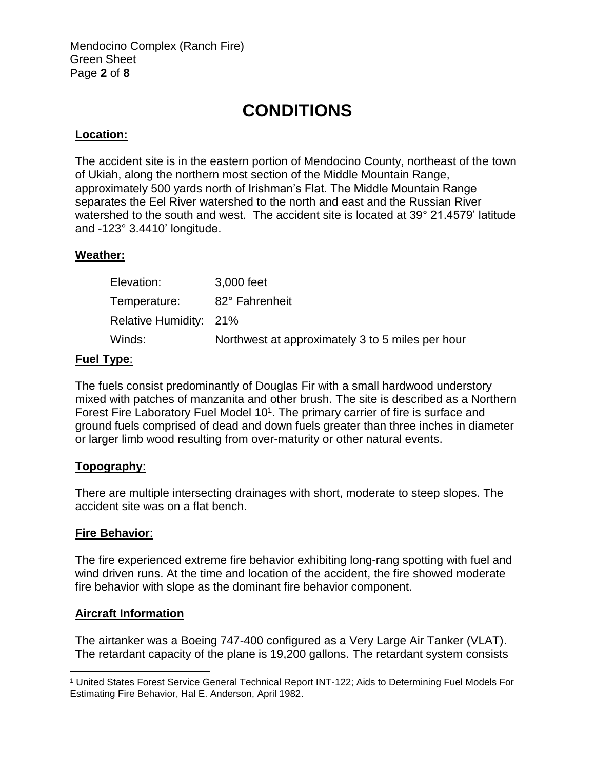Mendocino Complex (Ranch Fire) Green Sheet Page **2** of **8**

## **CONDITIONS**

#### **Location:**

The accident site is in the eastern portion of Mendocino County, northeast of the town of Ukiah, along the northern most section of the Middle Mountain Range, approximately 500 yards north of Irishman's Flat. The Middle Mountain Range separates the Eel River watershed to the north and east and the Russian River watershed to the south and west. The accident site is located at 39° 21.4579' latitude and -123° 3.4410' longitude.

#### **Weather:**

| 3,000 feet                                       |
|--------------------------------------------------|
| 82° Fahrenheit                                   |
| Relative Humidity: 21%                           |
| Northwest at approximately 3 to 5 miles per hour |
|                                                  |

#### **Fuel Type**:

The fuels consist predominantly of Douglas Fir with a small hardwood understory mixed with patches of manzanita and other brush. The site is described as a Northern Forest Fire Laboratory Fuel Model 10<sup>1</sup>. The primary carrier of fire is surface and ground fuels comprised of dead and down fuels greater than three inches in diameter or larger limb wood resulting from over-maturity or other natural events.

#### **Topography**:

There are multiple intersecting drainages with short, moderate to steep slopes. The accident site was on a flat bench.

#### **Fire Behavior**:

 $\overline{a}$ 

The fire experienced extreme fire behavior exhibiting long-rang spotting with fuel and wind driven runs. At the time and location of the accident, the fire showed moderate fire behavior with slope as the dominant fire behavior component.

#### **Aircraft Information**

The airtanker was a Boeing 747-400 configured as a Very Large Air Tanker (VLAT). The retardant capacity of the plane is 19,200 gallons. The retardant system consists

<sup>1</sup> United States Forest Service General Technical Report INT-122; Aids to Determining Fuel Models For Estimating Fire Behavior, Hal E. Anderson, April 1982.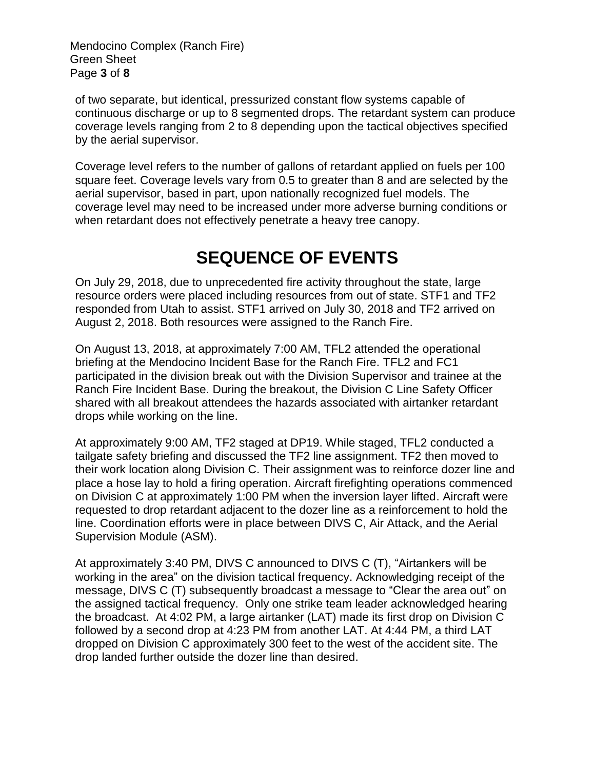Mendocino Complex (Ranch Fire) Green Sheet Page **3** of **8**

of two separate, but identical, pressurized constant flow systems capable of continuous discharge or up to 8 segmented drops. The retardant system can produce coverage levels ranging from 2 to 8 depending upon the tactical objectives specified by the aerial supervisor.

Coverage level refers to the number of gallons of retardant applied on fuels per 100 square feet. Coverage levels vary from 0.5 to greater than 8 and are selected by the aerial supervisor, based in part, upon nationally recognized fuel models. The coverage level may need to be increased under more adverse burning conditions or when retardant does not effectively penetrate a heavy tree canopy.

## **SEQUENCE OF EVENTS**

On July 29, 2018, due to unprecedented fire activity throughout the state, large resource orders were placed including resources from out of state. STF1 and TF2 responded from Utah to assist. STF1 arrived on July 30, 2018 and TF2 arrived on August 2, 2018. Both resources were assigned to the Ranch Fire.

On August 13, 2018, at approximately 7:00 AM, TFL2 attended the operational briefing at the Mendocino Incident Base for the Ranch Fire. TFL2 and FC1 participated in the division break out with the Division Supervisor and trainee at the Ranch Fire Incident Base. During the breakout, the Division C Line Safety Officer shared with all breakout attendees the hazards associated with airtanker retardant drops while working on the line.

At approximately 9:00 AM, TF2 staged at DP19. While staged, TFL2 conducted a tailgate safety briefing and discussed the TF2 line assignment. TF2 then moved to their work location along Division C. Their assignment was to reinforce dozer line and place a hose lay to hold a firing operation. Aircraft firefighting operations commenced on Division C at approximately 1:00 PM when the inversion layer lifted. Aircraft were requested to drop retardant adjacent to the dozer line as a reinforcement to hold the line. Coordination efforts were in place between DIVS C, Air Attack, and the Aerial Supervision Module (ASM).

At approximately 3:40 PM, DIVS C announced to DIVS C (T), "Airtankers will be working in the area" on the division tactical frequency. Acknowledging receipt of the message, DIVS C (T) subsequently broadcast a message to "Clear the area out" on the assigned tactical frequency. Only one strike team leader acknowledged hearing the broadcast. At 4:02 PM, a large airtanker (LAT) made its first drop on Division C followed by a second drop at 4:23 PM from another LAT. At 4:44 PM, a third LAT dropped on Division C approximately 300 feet to the west of the accident site. The drop landed further outside the dozer line than desired.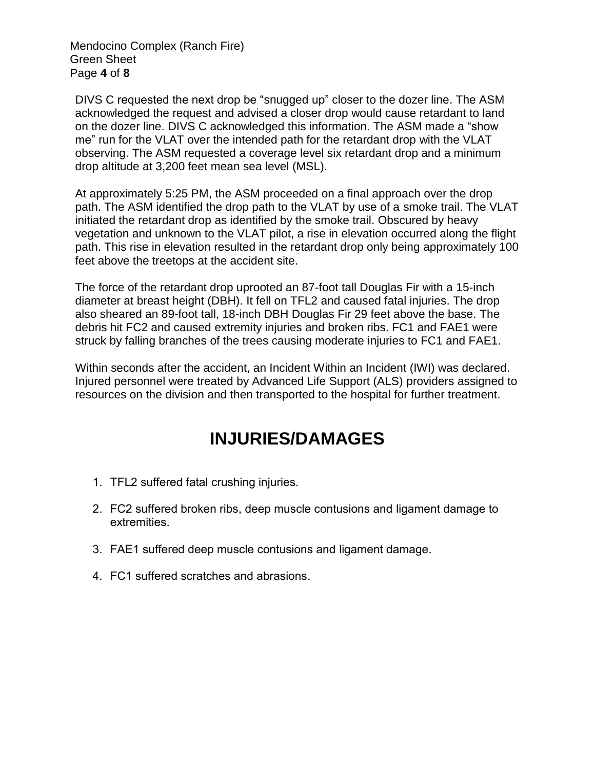Mendocino Complex (Ranch Fire) Green Sheet Page **4** of **8**

DIVS C requested the next drop be "snugged up" closer to the dozer line. The ASM acknowledged the request and advised a closer drop would cause retardant to land on the dozer line. DIVS C acknowledged this information. The ASM made a "show me" run for the VLAT over the intended path for the retardant drop with the VLAT observing. The ASM requested a coverage level six retardant drop and a minimum drop altitude at 3,200 feet mean sea level (MSL).

At approximately 5:25 PM, the ASM proceeded on a final approach over the drop path. The ASM identified the drop path to the VLAT by use of a smoke trail. The VLAT initiated the retardant drop as identified by the smoke trail. Obscured by heavy vegetation and unknown to the VLAT pilot, a rise in elevation occurred along the flight path. This rise in elevation resulted in the retardant drop only being approximately 100 feet above the treetops at the accident site.

The force of the retardant drop uprooted an 87-foot tall Douglas Fir with a 15-inch diameter at breast height (DBH). It fell on TFL2 and caused fatal injuries. The drop also sheared an 89-foot tall, 18-inch DBH Douglas Fir 29 feet above the base. The debris hit FC2 and caused extremity injuries and broken ribs. FC1 and FAE1 were struck by falling branches of the trees causing moderate injuries to FC1 and FAE1.

Within seconds after the accident, an Incident Within an Incident (IWI) was declared. Injured personnel were treated by Advanced Life Support (ALS) providers assigned to resources on the division and then transported to the hospital for further treatment.

## **INJURIES/DAMAGES**

- 1. TFL2 suffered fatal crushing injuries.
- 2. FC2 suffered broken ribs, deep muscle contusions and ligament damage to extremities.
- 3. FAE1 suffered deep muscle contusions and ligament damage.
- 4. FC1 suffered scratches and abrasions.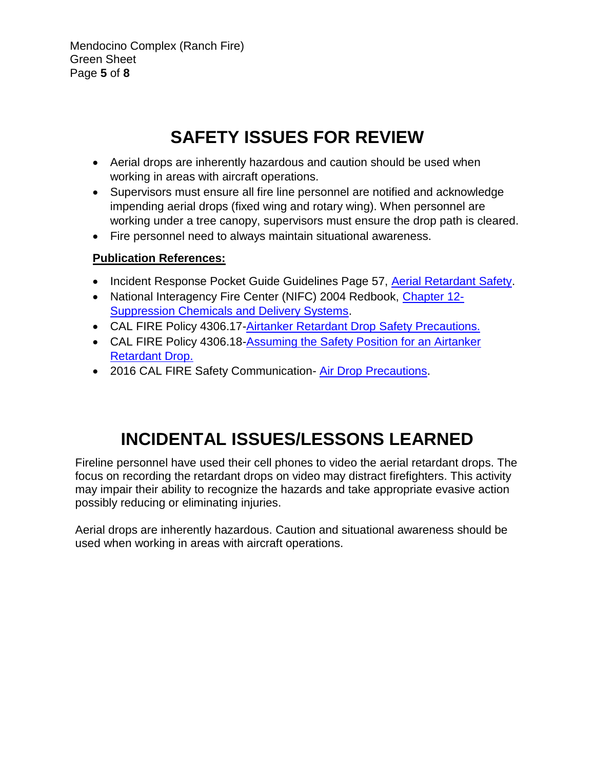Mendocino Complex (Ranch Fire) Green Sheet Page **5** of **8**

## **SAFETY ISSUES FOR REVIEW**

- Aerial drops are inherently hazardous and caution should be used when working in areas with aircraft operations.
- Supervisors must ensure all fire line personnel are notified and acknowledge impending aerial drops (fixed wing and rotary wing). When personnel are working under a tree canopy, supervisors must ensure the drop path is cleared.
- Fire personnel need to always maintain situational awareness.

#### **Publication References:**

- Incident Response Pocket Guide Guidelines Page 57, [Aerial Retardant Safety.](https://www.nwcg.gov/sites/default/files/publications/pms461.pdf)
- National Interagency Fire Center (NIFC) 2004 Redbook, [Chapter 12-](https://www.nifc.gov/PUBLICATIONS/redbook/2018/Chapter12.pdf) [Suppression Chemicals and Delivery Systems.](https://www.nifc.gov/PUBLICATIONS/redbook/2018/Chapter12.pdf)
- CAL FIRE Policy 4306.17[-Airtanker Retardant Drop Safety Precautions.](http://calfireweb.fire.ca.gov/library/handbooks/4300/docs/4306.17.tlp.pdf)
- CAL FIRE Policy 4306.18[-Assuming the Safety Position for an Airtanker](http://calfireweb.fire.ca.gov/library/handbooks/4300/docs/4306.17.tlp.pdf)  [Retardant Drop.](http://calfireweb.fire.ca.gov/library/handbooks/4300/docs/4306.17.tlp.pdf)
- 2016 CAL FIRE Safety Communication- [Air Drop Precautions.](http://calfireweb.fire.ca.gov/organization/fireprotection/safety/documents/communications/SC2016-05.pdf)

## **INCIDENTAL ISSUES/LESSONS LEARNED**

Fireline personnel have used their cell phones to video the aerial retardant drops. The focus on recording the retardant drops on video may distract firefighters. This activity may impair their ability to recognize the hazards and take appropriate evasive action possibly reducing or eliminating injuries.

Aerial drops are inherently hazardous. Caution and situational awareness should be used when working in areas with aircraft operations.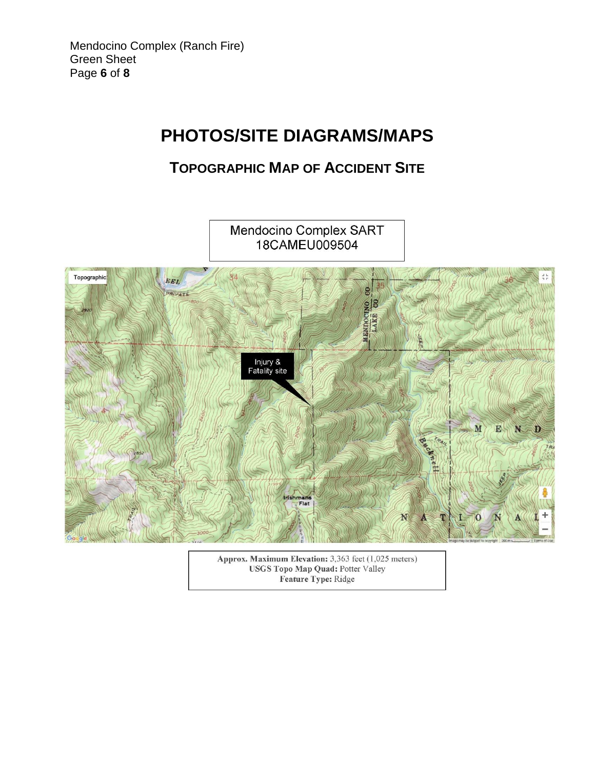## **PHOTOS/SITE DIAGRAMS/MAPS**

#### **TOPOGRAPHIC MAP OF ACCIDENT SITE**



Approx. Maximum Elevation: 3,363 feet (1,025 meters) **USGS Topo Map Quad: Potter Valley** Feature Type: Ridge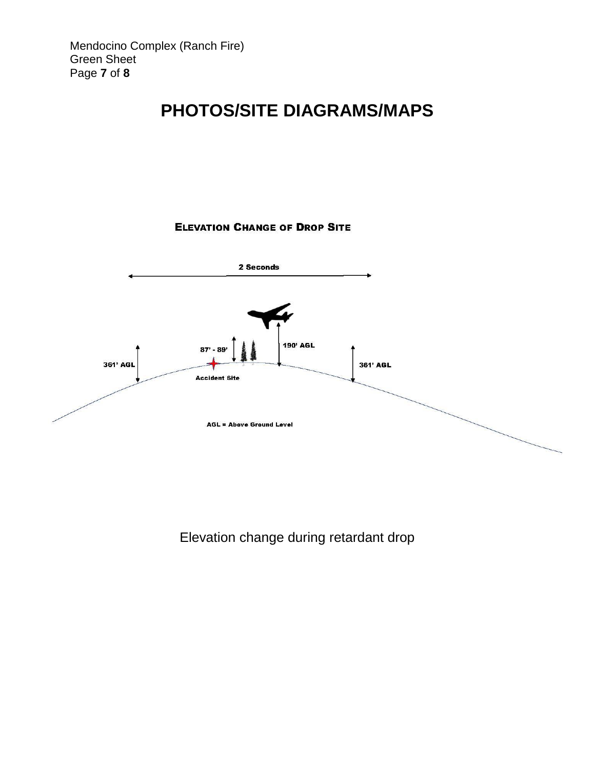## **PHOTOS/SITE DIAGRAMS/MAPS**

#### **ELEVATION CHANGE OF DROP SITE**



Elevation change during retardant drop